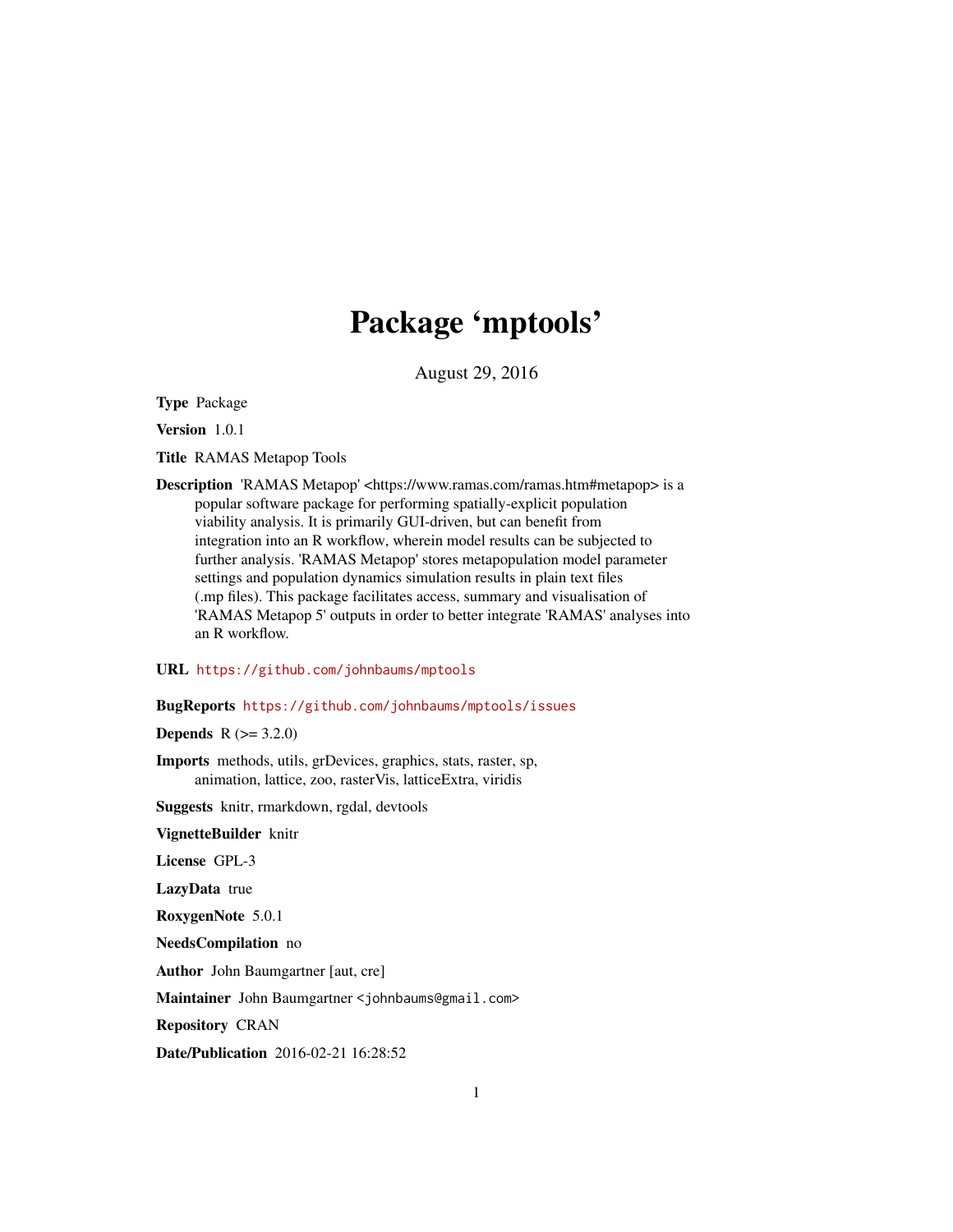# Package 'mptools'

August 29, 2016

<span id="page-0-0"></span>Type Package

Version 1.0.1

Title RAMAS Metapop Tools

Description 'RAMAS Metapop' <https://www.ramas.com/ramas.htm#metapop> is a popular software package for performing spatially-explicit population viability analysis. It is primarily GUI-driven, but can benefit from integration into an R workflow, wherein model results can be subjected to further analysis. 'RAMAS Metapop' stores metapopulation model parameter settings and population dynamics simulation results in plain text files (.mp files). This package facilitates access, summary and visualisation of 'RAMAS Metapop 5' outputs in order to better integrate 'RAMAS' analyses into an R workflow.

#### URL <https://github.com/johnbaums/mptools>

### BugReports <https://github.com/johnbaums/mptools/issues>

**Depends**  $R (= 3.2.0)$ 

Imports methods, utils, grDevices, graphics, stats, raster, sp, animation, lattice, zoo, rasterVis, latticeExtra, viridis

Suggests knitr, rmarkdown, rgdal, devtools

VignetteBuilder knitr

License GPL-3

LazyData true

RoxygenNote 5.0.1

NeedsCompilation no

Author John Baumgartner [aut, cre]

Maintainer John Baumgartner <johnbaums@gmail.com>

Repository CRAN

Date/Publication 2016-02-21 16:28:52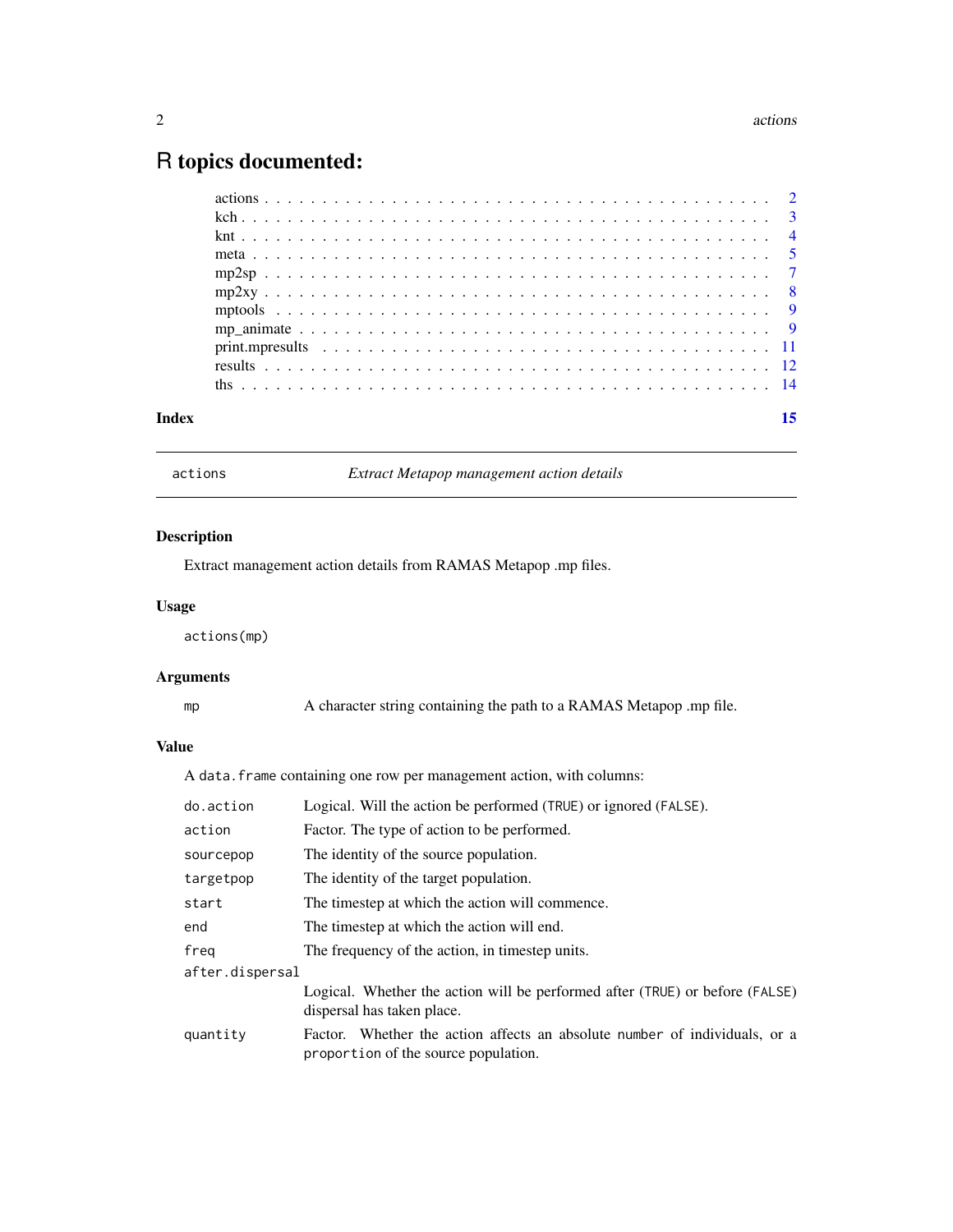## <span id="page-1-0"></span>R topics documented:

|  |  |  |  |  |  |  |  |  |  |  |  |  |  |  |  |  |  |  |  | 15 |
|--|--|--|--|--|--|--|--|--|--|--|--|--|--|--|--|--|--|--|--|----|
|  |  |  |  |  |  |  |  |  |  |  |  |  |  |  |  |  |  |  |  |    |
|  |  |  |  |  |  |  |  |  |  |  |  |  |  |  |  |  |  |  |  |    |
|  |  |  |  |  |  |  |  |  |  |  |  |  |  |  |  |  |  |  |  |    |
|  |  |  |  |  |  |  |  |  |  |  |  |  |  |  |  |  |  |  |  |    |
|  |  |  |  |  |  |  |  |  |  |  |  |  |  |  |  |  |  |  |  |    |
|  |  |  |  |  |  |  |  |  |  |  |  |  |  |  |  |  |  |  |  |    |
|  |  |  |  |  |  |  |  |  |  |  |  |  |  |  |  |  |  |  |  |    |
|  |  |  |  |  |  |  |  |  |  |  |  |  |  |  |  |  |  |  |  |    |
|  |  |  |  |  |  |  |  |  |  |  |  |  |  |  |  |  |  |  |  |    |
|  |  |  |  |  |  |  |  |  |  |  |  |  |  |  |  |  |  |  |  |    |
|  |  |  |  |  |  |  |  |  |  |  |  |  |  |  |  |  |  |  |  |    |

<span id="page-1-1"></span>actions *Extract Metapop management action details*

### Description

Extract management action details from RAMAS Metapop .mp files.

### Usage

actions(mp)

#### Arguments

| mp | A character string containing the path to a RAMAS Metapop .mp file. |  |  |  |  |  |
|----|---------------------------------------------------------------------|--|--|--|--|--|
|    |                                                                     |  |  |  |  |  |

#### Value

A data.frame containing one row per management action, with columns:

| do.action       | Logical. Will the action be performed (TRUE) or ignored (FALSE).                                                   |  |  |  |
|-----------------|--------------------------------------------------------------------------------------------------------------------|--|--|--|
| action          | Factor. The type of action to be performed.                                                                        |  |  |  |
| sourcepop       | The identity of the source population.                                                                             |  |  |  |
| targetpop       | The identity of the target population.                                                                             |  |  |  |
| start           | The timestep at which the action will commence.                                                                    |  |  |  |
| end             | The timestep at which the action will end.                                                                         |  |  |  |
| freg            | The frequency of the action, in timestep units.                                                                    |  |  |  |
| after.dispersal |                                                                                                                    |  |  |  |
|                 | Logical. Whether the action will be performed after (TRUE) or before (FALSE)<br>dispersal has taken place.         |  |  |  |
| quantity        | Factor. Whether the action affects an absolute number of individuals, or a<br>proportion of the source population. |  |  |  |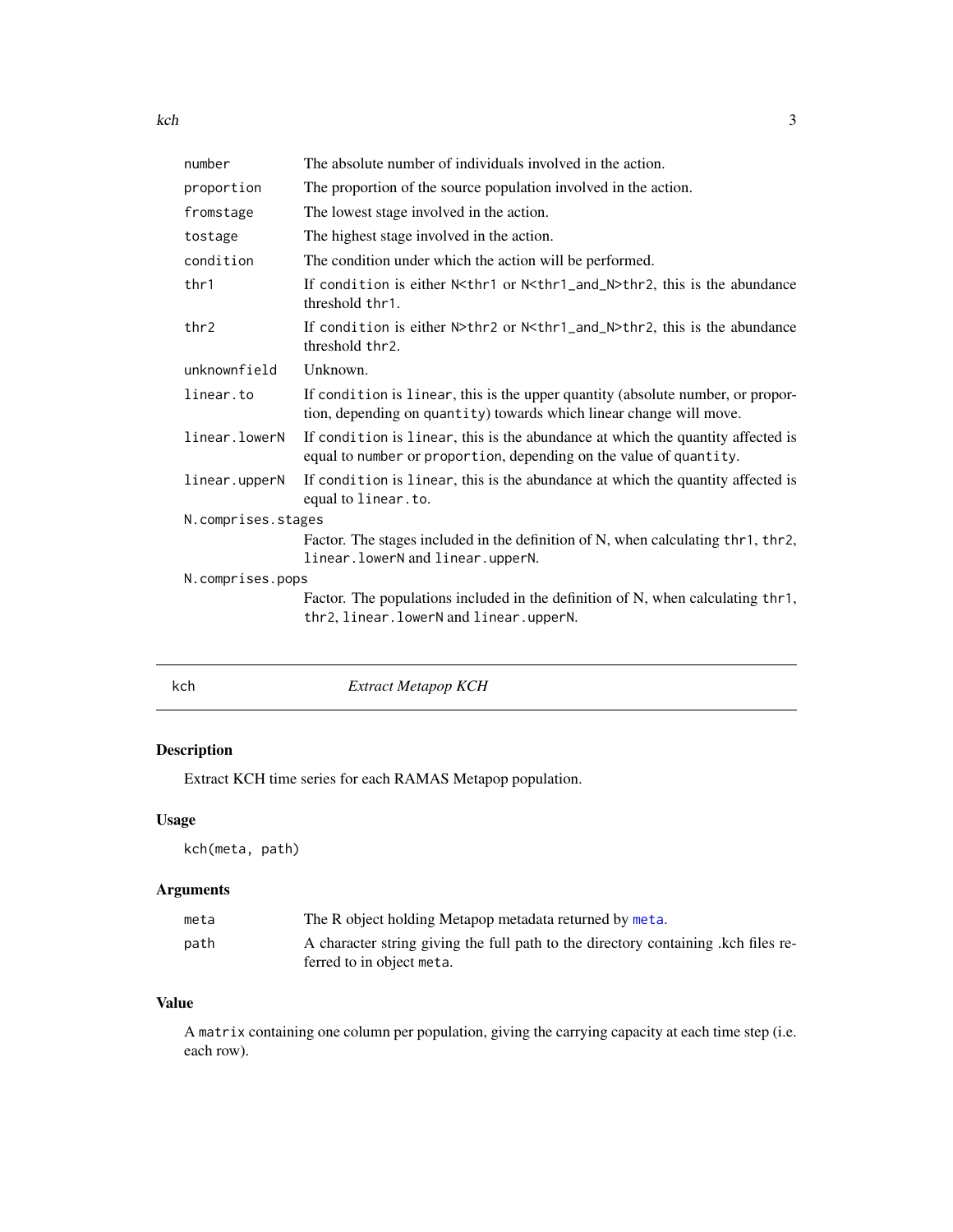<span id="page-2-0"></span>

| number             | The absolute number of individuals involved in the action.                                                                                             |
|--------------------|--------------------------------------------------------------------------------------------------------------------------------------------------------|
| proportion         | The proportion of the source population involved in the action.                                                                                        |
| fromstage          | The lowest stage involved in the action.                                                                                                               |
| tostage            | The highest stage involved in the action.                                                                                                              |
| condition          | The condition under which the action will be performed.                                                                                                |
| thr1               | If condition is either N <thr1 n<thr1_and_n="" or="">thr2, this is the abundance<br/>threshold thr1.</thr1>                                            |
| thr2               | If condition is either N>thr2 or N <thr1_and_n>thr2, this is the abundance<br/>threshold thr2.</thr1_and_n>                                            |
| unknownfield       | Unknown.                                                                                                                                               |
| linear.to          | If condition is linear, this is the upper quantity (absolute number, or propor-<br>tion, depending on quantity) towards which linear change will move. |
| linear.lowerN      | If condition is linear, this is the abundance at which the quantity affected is<br>equal to number or proportion, depending on the value of quantity.  |
| linear.upperN      | If condition is linear, this is the abundance at which the quantity affected is<br>equal to linear.to.                                                 |
| N.comprises.stages |                                                                                                                                                        |
|                    | Factor. The stages included in the definition of N, when calculating thr1, thr2,<br>linear. lowerN and linear.upperN.                                  |
| N.comprises.pops   |                                                                                                                                                        |
|                    | Factor. The populations included in the definition of N, when calculating thr1,<br>thr2, linear. lowerN and linear. upperN.                            |
|                    |                                                                                                                                                        |

<span id="page-2-1"></span>

kch *Extract Metapop KCH*

### Description

Extract KCH time series for each RAMAS Metapop population.

### Usage

kch(meta, path)

### Arguments

| meta | The R object holding Metapop metadata returned by meta.                                                        |
|------|----------------------------------------------------------------------------------------------------------------|
| path | A character string giving the full path to the directory containing kch files re-<br>ferred to in object meta. |

### Value

A matrix containing one column per population, giving the carrying capacity at each time step (i.e. each row).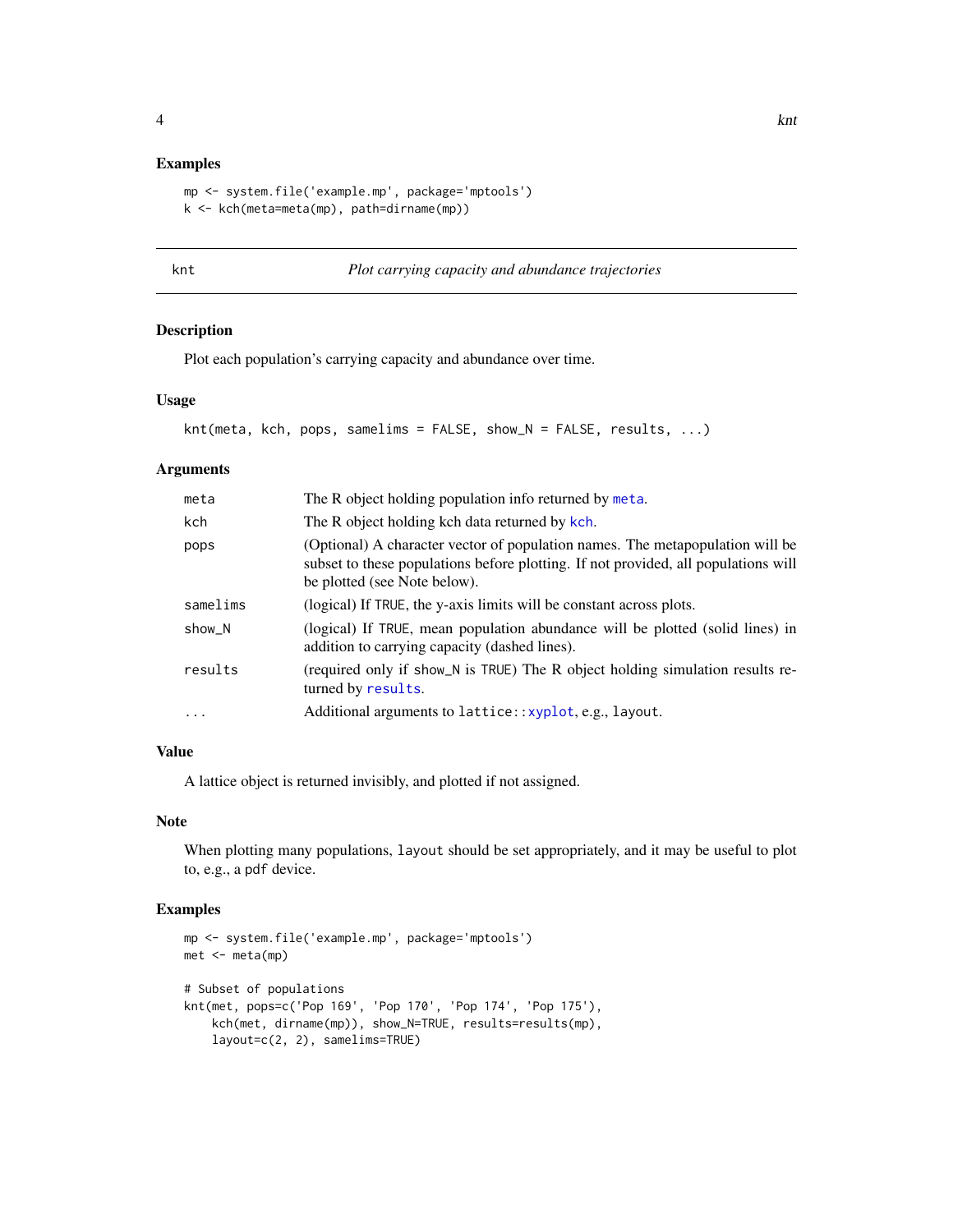#### Examples

```
mp <- system.file('example.mp', package='mptools')
k <- kch(meta=meta(mp), path=dirname(mp))
```
#### knt *Plot carrying capacity and abundance trajectories*

#### Description

Plot each population's carrying capacity and abundance over time.

#### Usage

```
knt(meta, kch, pops, samelims = FALSE, show_N = FALSE, results, ...)
```
#### Arguments

| meta      | The R object holding population info returned by meta.                                                                                                                                              |
|-----------|-----------------------------------------------------------------------------------------------------------------------------------------------------------------------------------------------------|
| kch       | The R object holding kch data returned by kch.                                                                                                                                                      |
| pops      | (Optional) A character vector of population names. The metapopulation will be<br>subset to these populations before plotting. If not provided, all populations will<br>be plotted (see Note below). |
| samelims  | (logical) If TRUE, the y-axis limits will be constant across plots.                                                                                                                                 |
| show_N    | (logical) If TRUE, mean population abundance will be plotted (solid lines) in<br>addition to carrying capacity (dashed lines).                                                                      |
| results   | (required only if show_N is TRUE) The R object holding simulation results re-<br>turned by results.                                                                                                 |
| $\ddotsc$ | Additional arguments to lattice::xyplot, e.g., layout.                                                                                                                                              |

#### Value

A lattice object is returned invisibly, and plotted if not assigned.

#### Note

When plotting many populations, layout should be set appropriately, and it may be useful to plot to, e.g., a pdf device.

#### Examples

```
mp <- system.file('example.mp', package='mptools')
met <- meta(mp)
# Subset of populations
knt(met, pops=c('Pop 169', 'Pop 170', 'Pop 174', 'Pop 175'),
    kch(met, dirname(mp)), show_N=TRUE, results=results(mp),
    layout=c(2, 2), samelims=TRUE)
```
<span id="page-3-0"></span>4 knt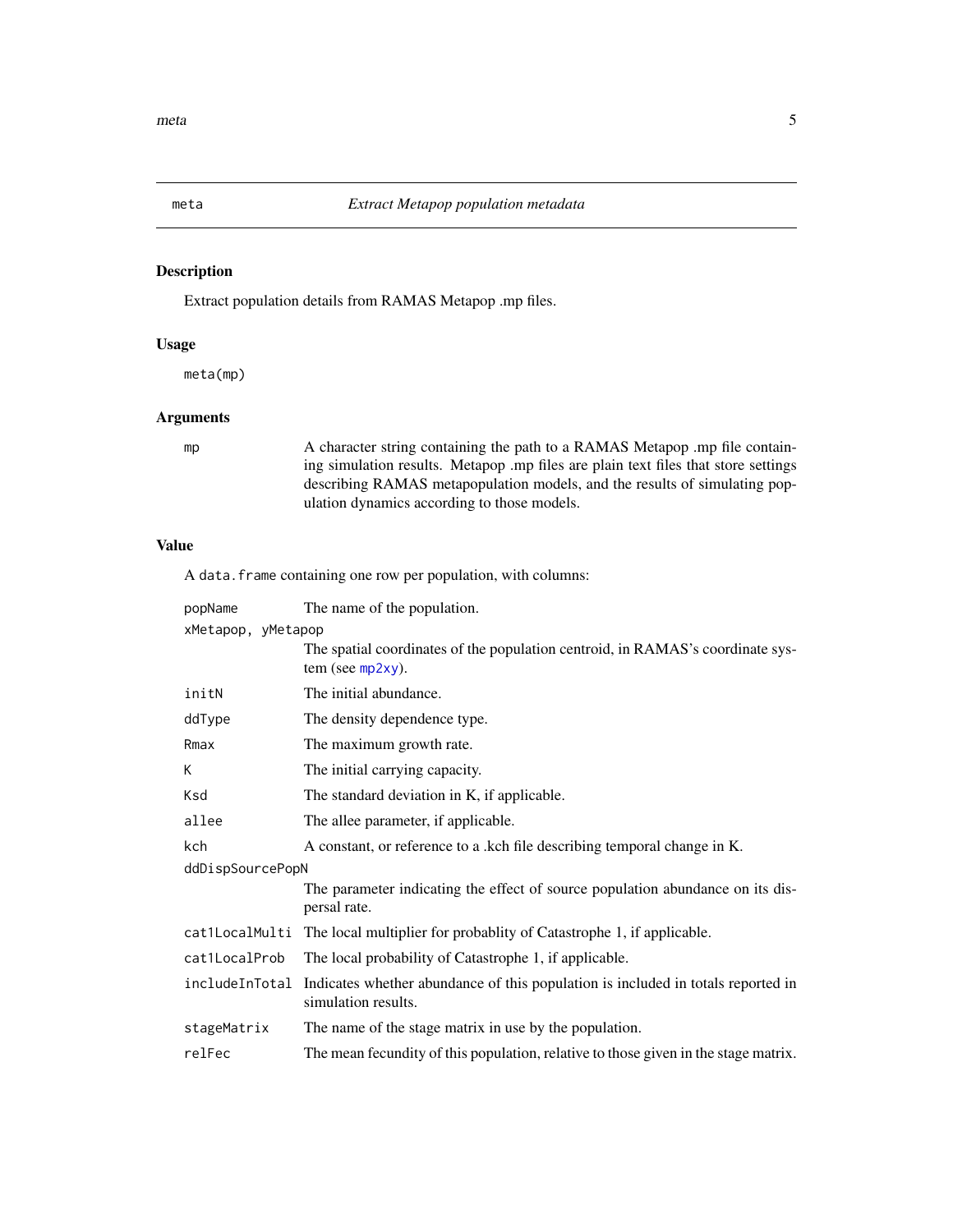<span id="page-4-1"></span><span id="page-4-0"></span>

Extract population details from RAMAS Metapop .mp files.

#### Usage

meta(mp)

#### Arguments

mp A character string containing the path to a RAMAS Metapop .mp file containing simulation results. Metapop .mp files are plain text files that store settings describing RAMAS metapopulation models, and the results of simulating population dynamics according to those models.

#### Value

A data.frame containing one row per population, with columns:

| popName            | The name of the population.                                                                             |
|--------------------|---------------------------------------------------------------------------------------------------------|
| xMetapop, yMetapop |                                                                                                         |
|                    | The spatial coordinates of the population centroid, in RAMAS's coordinate sys-<br>tem (see mp2xy).      |
| initN              | The initial abundance.                                                                                  |
| ddType             | The density dependence type.                                                                            |
| Rmax               | The maximum growth rate.                                                                                |
| К                  | The initial carrying capacity.                                                                          |
| Ksd                | The standard deviation in K, if applicable.                                                             |
| allee              | The allee parameter, if applicable.                                                                     |
| kch                | A constant, or reference to a .kch file describing temporal change in K.                                |
| ddDispSourcePopN   |                                                                                                         |
|                    | The parameter indicating the effect of source population abundance on its dis-<br>persal rate.          |
|                    | cat1LocalMulti The local multiplier for probability of Catastrophe 1, if applicable.                    |
| cat1LocalProb      | The local probability of Catastrophe 1, if applicable.                                                  |
| includeInTotal     | Indicates whether abundance of this population is included in totals reported in<br>simulation results. |
| stageMatrix        | The name of the stage matrix in use by the population.                                                  |
| relFec             | The mean fecundity of this population, relative to those given in the stage matrix.                     |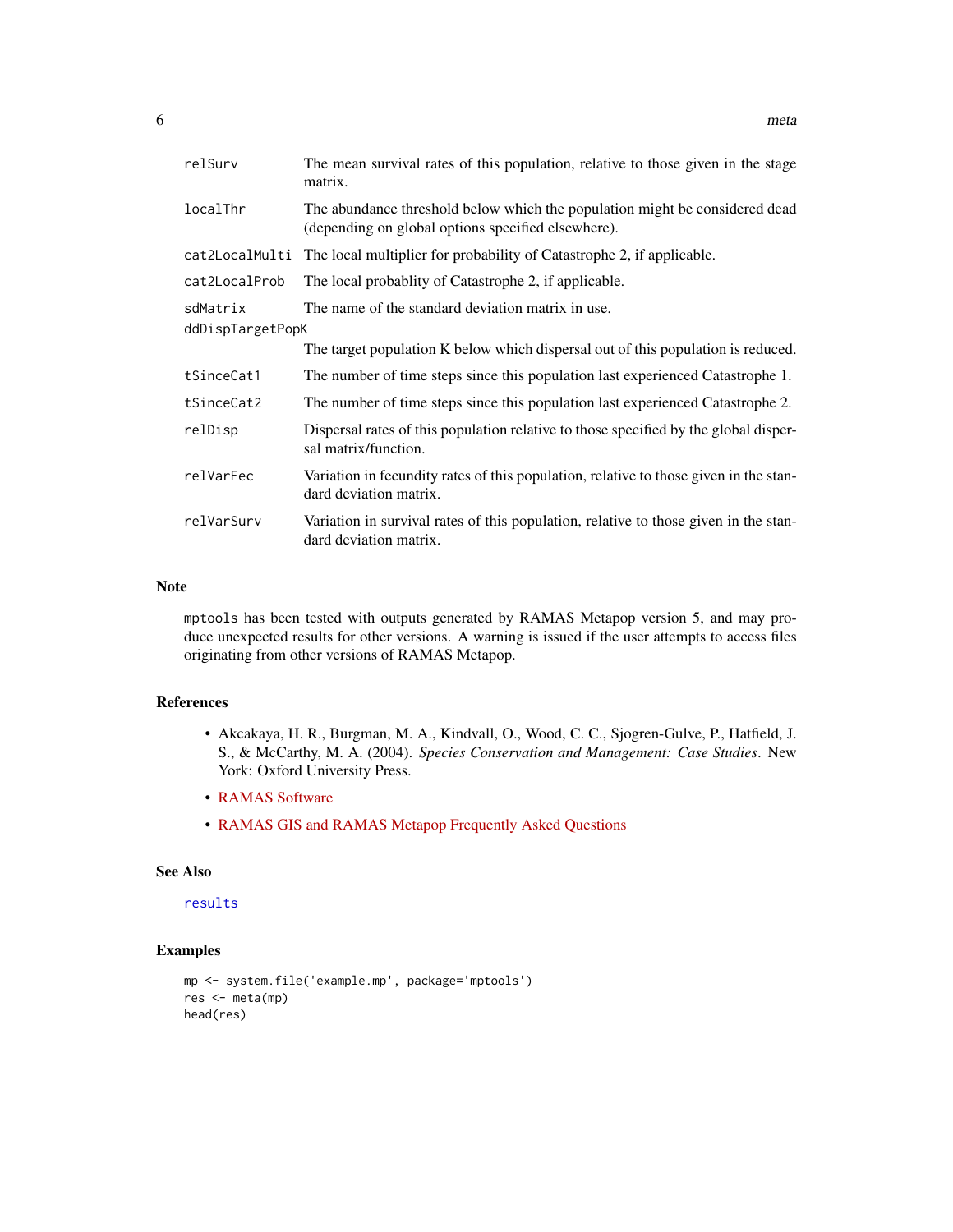<span id="page-5-0"></span>

| relSurv                                                                           | The mean survival rates of this population, relative to those given in the stage<br>matrix.                                       |  |  |  |
|-----------------------------------------------------------------------------------|-----------------------------------------------------------------------------------------------------------------------------------|--|--|--|
| localThr                                                                          | The abundance threshold below which the population might be considered dead<br>(depending on global options specified elsewhere). |  |  |  |
| cat2LocalMulti                                                                    | The local multiplier for probability of Catastrophe 2, if applicable.                                                             |  |  |  |
| cat2LocalProb                                                                     | The local probability of Catastrophe 2, if applicable.                                                                            |  |  |  |
| The name of the standard deviation matrix in use.<br>sdMatrix<br>ddDispTargetPopK |                                                                                                                                   |  |  |  |
|                                                                                   | The target population K below which dispersal out of this population is reduced.                                                  |  |  |  |
| tSinceCat1                                                                        | The number of time steps since this population last experienced Catastrophe 1.                                                    |  |  |  |
| tSinceCat2                                                                        | The number of time steps since this population last experienced Catastrophe 2.                                                    |  |  |  |
| relDisp                                                                           | Dispersal rates of this population relative to those specified by the global disper-<br>sal matrix/function.                      |  |  |  |
| relVarFec                                                                         | Variation in fecundity rates of this population, relative to those given in the stan-<br>dard deviation matrix.                   |  |  |  |
| relVarSurv                                                                        | Variation in survival rates of this population, relative to those given in the stan-<br>dard deviation matrix.                    |  |  |  |

#### Note

mptools has been tested with outputs generated by RAMAS Metapop version 5, and may produce unexpected results for other versions. A warning is issued if the user attempts to access files originating from other versions of RAMAS Metapop.

#### References

- Akcakaya, H. R., Burgman, M. A., Kindvall, O., Wood, C. C., Sjogren-Gulve, P., Hatfield, J. S., & McCarthy, M. A. (2004). *Species Conservation and Management: Case Studies*. New York: Oxford University Press.
- [RAMAS Software](https://www.ramas.com/ramas.htm#metapop)
- [RAMAS GIS and RAMAS Metapop Frequently Asked Questions](https://www.ramas.com/gis-faq.htm)

### See Also

#### [results](#page-11-1)

```
mp <- system.file('example.mp', package='mptools')
res <- meta(mp)
head(res)
```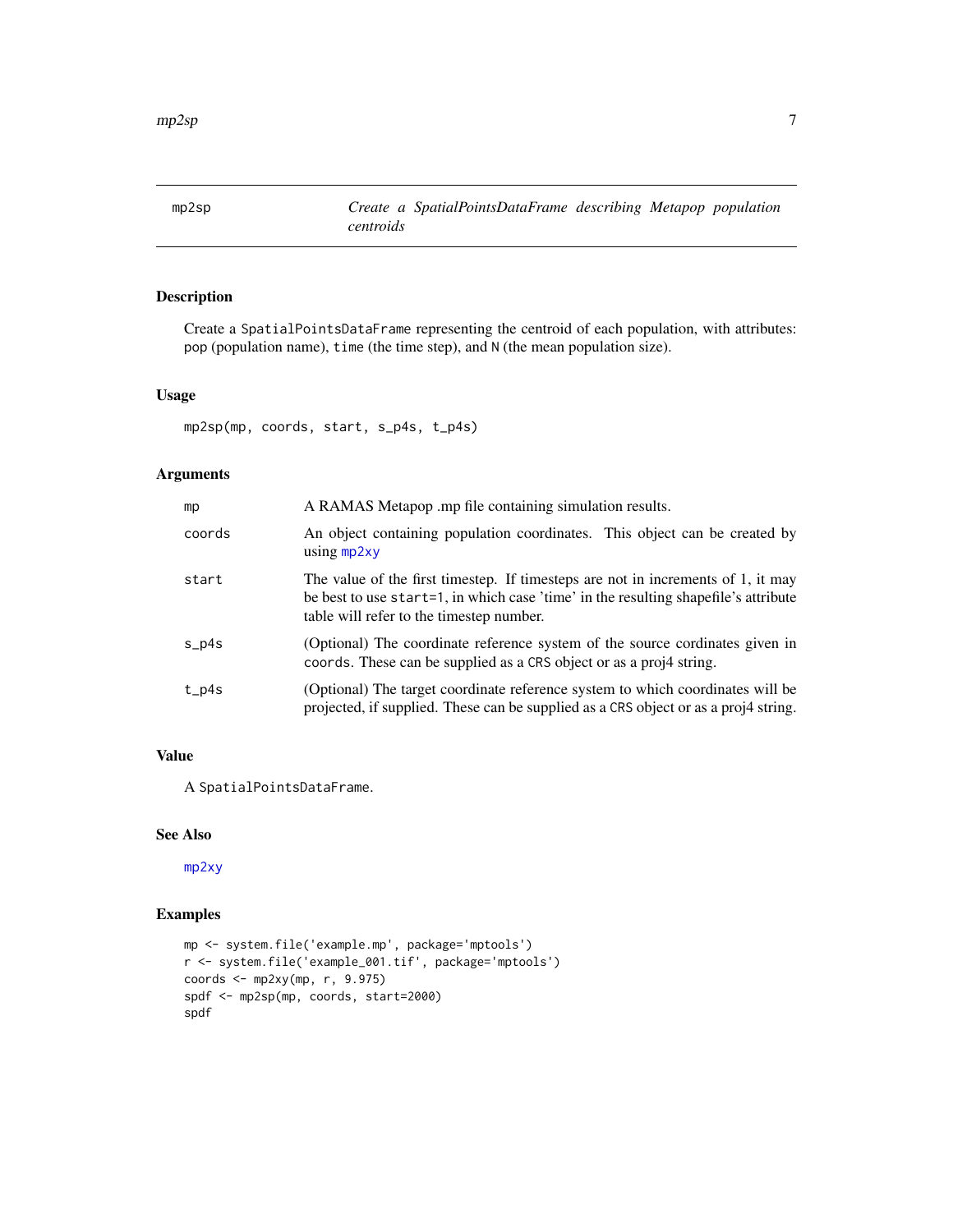<span id="page-6-1"></span><span id="page-6-0"></span>mp2sp *Create a SpatialPointsDataFrame describing Metapop population centroids*

#### Description

Create a SpatialPointsDataFrame representing the centroid of each population, with attributes: pop (population name), time (the time step), and N (the mean population size).

#### Usage

```
mp2sp(mp, coords, start, s_p4s, t_p4s)
```
#### Arguments

| mp      | A RAMAS Metapop .mp file containing simulation results.                                                                                                                                                             |
|---------|---------------------------------------------------------------------------------------------------------------------------------------------------------------------------------------------------------------------|
| coords  | An object containing population coordinates. This object can be created by<br>using $mp2xy$                                                                                                                         |
| start   | The value of the first timestep. If timesteps are not in increments of 1, it may<br>be best to use start=1, in which case 'time' in the resulting shapefile's attribute<br>table will refer to the timestep number. |
| $S_p4s$ | (Optional) The coordinate reference system of the source cordinates given in<br>coords. These can be supplied as a CRS object or as a proj4 string.                                                                 |
| t_p4s   | (Optional) The target coordinate reference system to which coordinates will be<br>projected, if supplied. These can be supplied as a CRS object or as a proj4 string.                                               |

#### Value

A SpatialPointsDataFrame.

#### See Also

[mp2xy](#page-7-1)

```
mp <- system.file('example.mp', package='mptools')
r <- system.file('example_001.tif', package='mptools')
coords <- mp2xy(mp, r, 9.975)
spdf <- mp2sp(mp, coords, start=2000)
spdf
```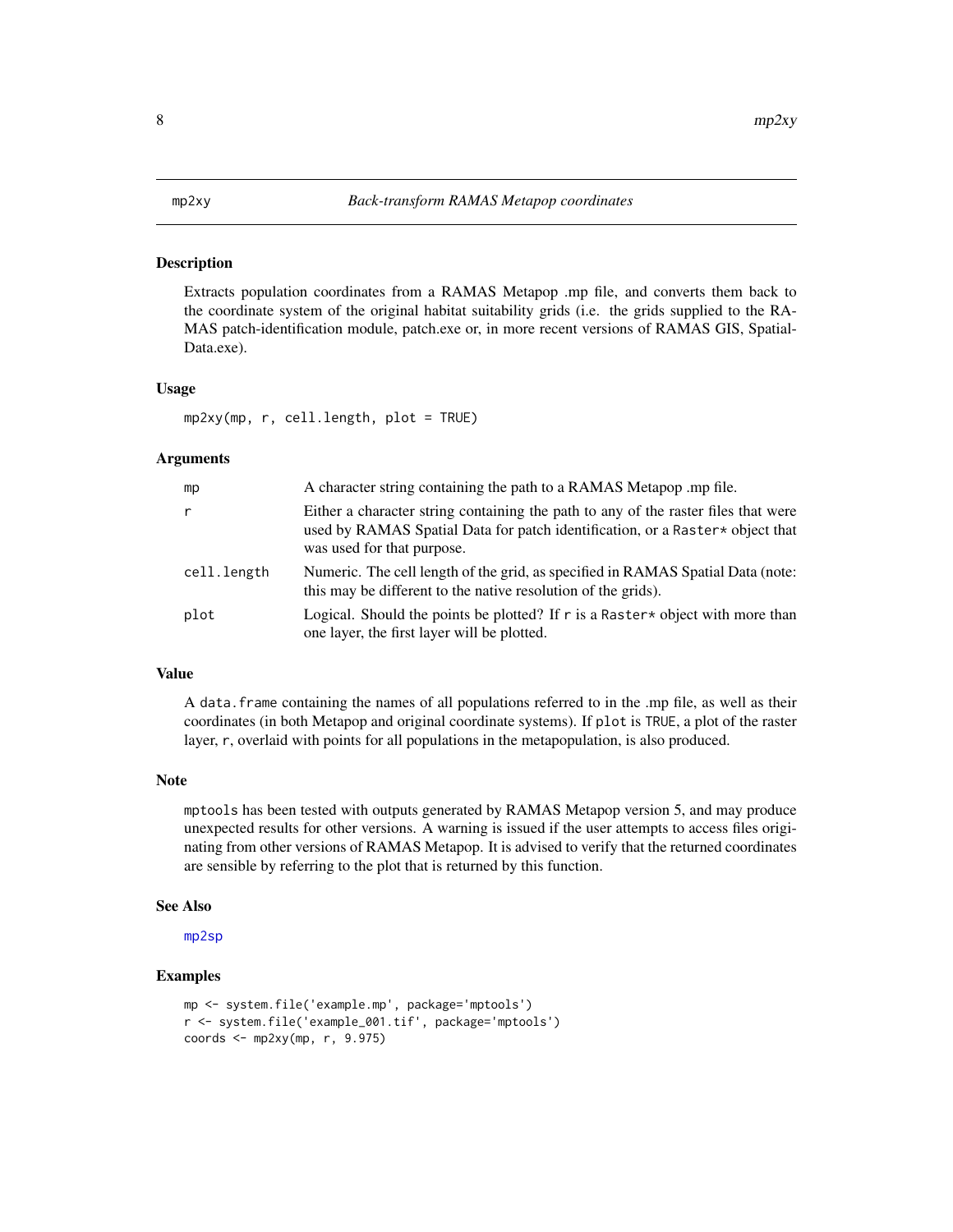<span id="page-7-1"></span><span id="page-7-0"></span>Extracts population coordinates from a RAMAS Metapop .mp file, and converts them back to the coordinate system of the original habitat suitability grids (i.e. the grids supplied to the RA-MAS patch-identification module, patch.exe or, in more recent versions of RAMAS GIS, Spatial-Data.exe).

#### Usage

mp2xy(mp, r, cell.length, plot = TRUE)

#### Arguments

| mp          | A character string containing the path to a RAMAS Metapop .mp file.                                                                                                                               |
|-------------|---------------------------------------------------------------------------------------------------------------------------------------------------------------------------------------------------|
| r           | Either a character string containing the path to any of the raster files that were<br>used by RAMAS Spatial Data for patch identification, or a Raster* object that<br>was used for that purpose. |
| cell.length | Numeric. The cell length of the grid, as specified in RAMAS Spatial Data (note:<br>this may be different to the native resolution of the grids).                                                  |
| plot        | Logical. Should the points be plotted? If r is a Raster $\star$ object with more than<br>one layer, the first layer will be plotted.                                                              |

#### Value

A data.frame containing the names of all populations referred to in the .mp file, as well as their coordinates (in both Metapop and original coordinate systems). If plot is TRUE, a plot of the raster layer, r, overlaid with points for all populations in the metapopulation, is also produced.

#### Note

mptools has been tested with outputs generated by RAMAS Metapop version 5, and may produce unexpected results for other versions. A warning is issued if the user attempts to access files originating from other versions of RAMAS Metapop. It is advised to verify that the returned coordinates are sensible by referring to the plot that is returned by this function.

#### See Also

[mp2sp](#page-6-1)

```
mp <- system.file('example.mp', package='mptools')
r <- system.file('example_001.tif', package='mptools')
coords \leq mp2xy(mp, r, 9.975)
```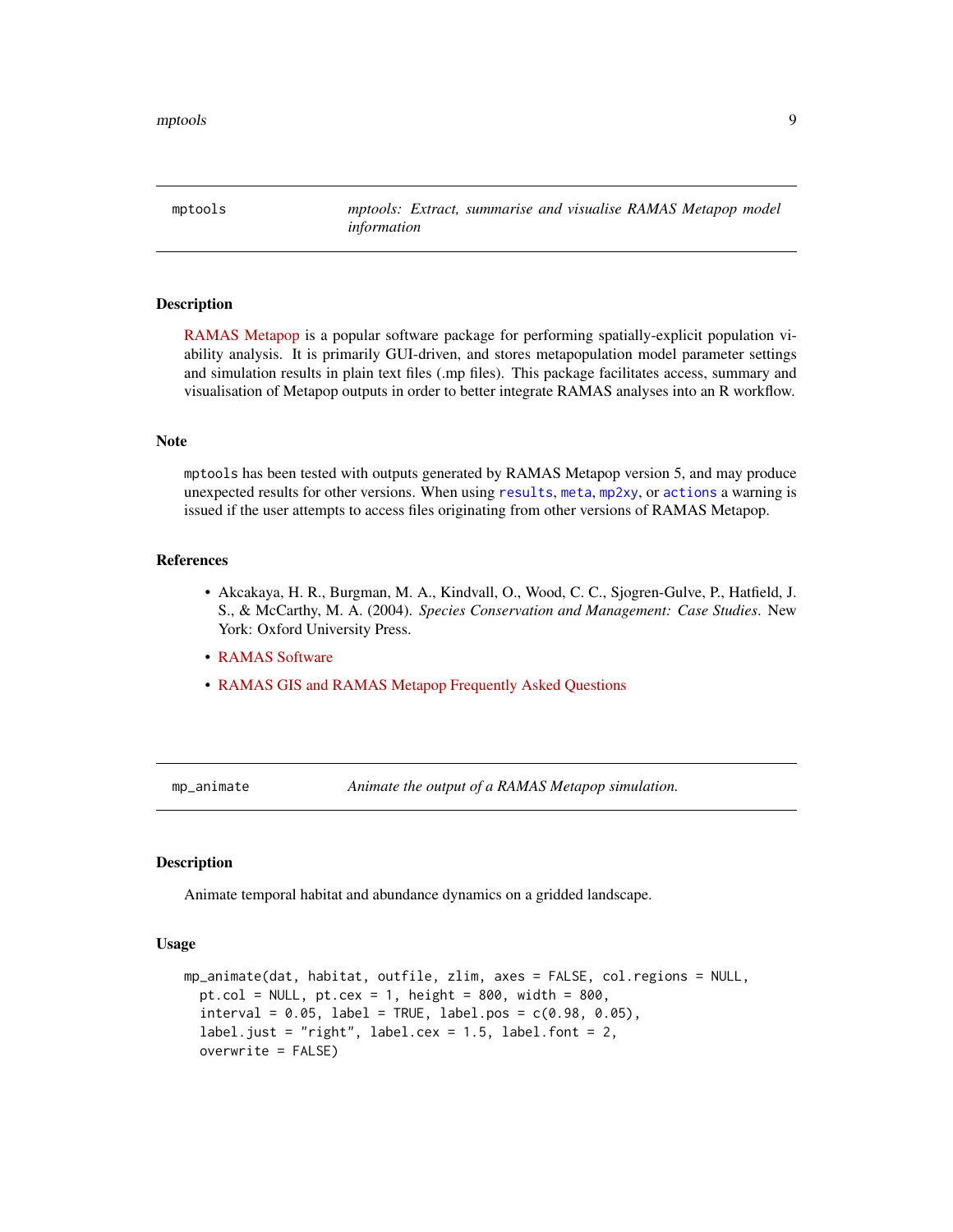<span id="page-8-0"></span>mptools *mptools: Extract, summarise and visualise RAMAS Metapop model information*

#### Description

[RAMAS Metapop](https://www.ramas.com/ramas.htm#metapop) is a popular software package for performing spatially-explicit population viability analysis. It is primarily GUI-driven, and stores metapopulation model parameter settings and simulation results in plain text files (.mp files). This package facilitates access, summary and visualisation of Metapop outputs in order to better integrate RAMAS analyses into an R workflow.

#### Note

mptools has been tested with outputs generated by RAMAS Metapop version 5, and may produce unexpected results for other versions. When using [results](#page-11-1), [meta](#page-4-1), [mp2xy](#page-7-1), or [actions](#page-1-1) a warning is issued if the user attempts to access files originating from other versions of RAMAS Metapop.

#### References

- Akcakaya, H. R., Burgman, M. A., Kindvall, O., Wood, C. C., Sjogren-Gulve, P., Hatfield, J. S., & McCarthy, M. A. (2004). *Species Conservation and Management: Case Studies*. New York: Oxford University Press.
- [RAMAS Software](https://www.ramas.com/ramas.htm#metapop)
- [RAMAS GIS and RAMAS Metapop Frequently Asked Questions](https://www.ramas.com/gis-faq.htm)

mp\_animate *Animate the output of a RAMAS Metapop simulation.*

#### Description

Animate temporal habitat and abundance dynamics on a gridded landscape.

#### Usage

```
mp_animate(dat, habitat, outfile, zlim, axes = FALSE, col.regions = NULL,
 pt.col = NULL, pt.cex = 1, height = 800, width = 800,
  interval = 0.05, label = TRUE, label.pop = c(0.98, 0.05),
  label.just = "right", label.cex = 1.5, label.font = 2,
  overwrite = FALSE)
```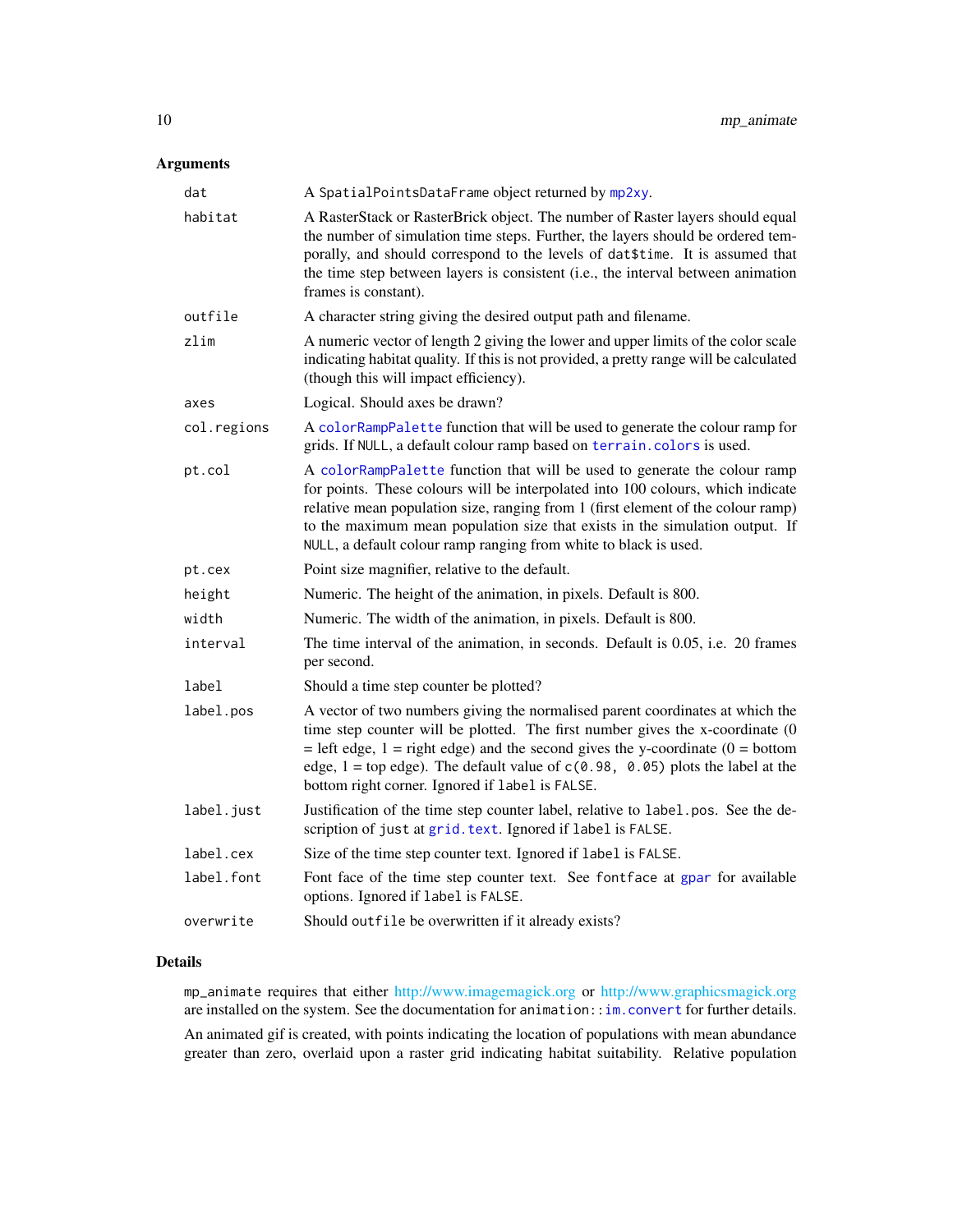### <span id="page-9-0"></span>Arguments

| dat         | A SpatialPointsDataFrame object returned by mp2xy.                                                                                                                                                                                                                                                                                                                                                   |
|-------------|------------------------------------------------------------------------------------------------------------------------------------------------------------------------------------------------------------------------------------------------------------------------------------------------------------------------------------------------------------------------------------------------------|
| habitat     | A RasterStack or RasterBrick object. The number of Raster layers should equal<br>the number of simulation time steps. Further, the layers should be ordered tem-<br>porally, and should correspond to the levels of dat\$time. It is assumed that<br>the time step between layers is consistent (i.e., the interval between animation<br>frames is constant).                                        |
| outfile     | A character string giving the desired output path and filename.                                                                                                                                                                                                                                                                                                                                      |
| zlim        | A numeric vector of length 2 giving the lower and upper limits of the color scale<br>indicating habitat quality. If this is not provided, a pretty range will be calculated<br>(though this will impact efficiency).                                                                                                                                                                                 |
| axes        | Logical. Should axes be drawn?                                                                                                                                                                                                                                                                                                                                                                       |
| col.regions | A colorRampPalette function that will be used to generate the colour ramp for<br>grids. If NULL, a default colour ramp based on terrain. colors is used.                                                                                                                                                                                                                                             |
| pt.col      | A colorRampPalette function that will be used to generate the colour ramp<br>for points. These colours will be interpolated into 100 colours, which indicate<br>relative mean population size, ranging from 1 (first element of the colour ramp)<br>to the maximum mean population size that exists in the simulation output. If<br>NULL, a default colour ramp ranging from white to black is used. |
| pt.cex      | Point size magnifier, relative to the default.                                                                                                                                                                                                                                                                                                                                                       |
| height      | Numeric. The height of the animation, in pixels. Default is 800.                                                                                                                                                                                                                                                                                                                                     |
| width       | Numeric. The width of the animation, in pixels. Default is 800.                                                                                                                                                                                                                                                                                                                                      |
| interval    | The time interval of the animation, in seconds. Default is 0.05, i.e. 20 frames<br>per second.                                                                                                                                                                                                                                                                                                       |
| label       | Should a time step counter be plotted?                                                                                                                                                                                                                                                                                                                                                               |
| label.pos   | A vector of two numbers giving the normalised parent coordinates at which the<br>time step counter will be plotted. The first number gives the x-coordinate (0)<br>$=$ left edge, 1 = right edge) and the second gives the y-coordinate (0 = bottom<br>edge, $1 =$ top edge). The default value of $c(0.98, 0.05)$ plots the label at the<br>bottom right corner. Ignored if label is FALSE.         |
| label.just  | Justification of the time step counter label, relative to label.pos. See the de-<br>scription of just at grid. text. Ignored if label is FALSE.                                                                                                                                                                                                                                                      |
| label.cex   | Size of the time step counter text. Ignored if label is FALSE.                                                                                                                                                                                                                                                                                                                                       |
| label.font  | Font face of the time step counter text. See font face at gpar for available<br>options. Ignored if label is FALSE.                                                                                                                                                                                                                                                                                  |
| overwrite   | Should outfile be overwritten if it already exists?                                                                                                                                                                                                                                                                                                                                                  |

#### Details

mp\_animate requires that either [http://www.imagemagick.org](#page-0-0) or [http://www.graphicsmagick.org](#page-0-0) are installed on the system. See the documentation for animation:[:im.convert](#page-0-0) for further details. An animated gif is created, with points indicating the location of populations with mean abundance greater than zero, overlaid upon a raster grid indicating habitat suitability. Relative population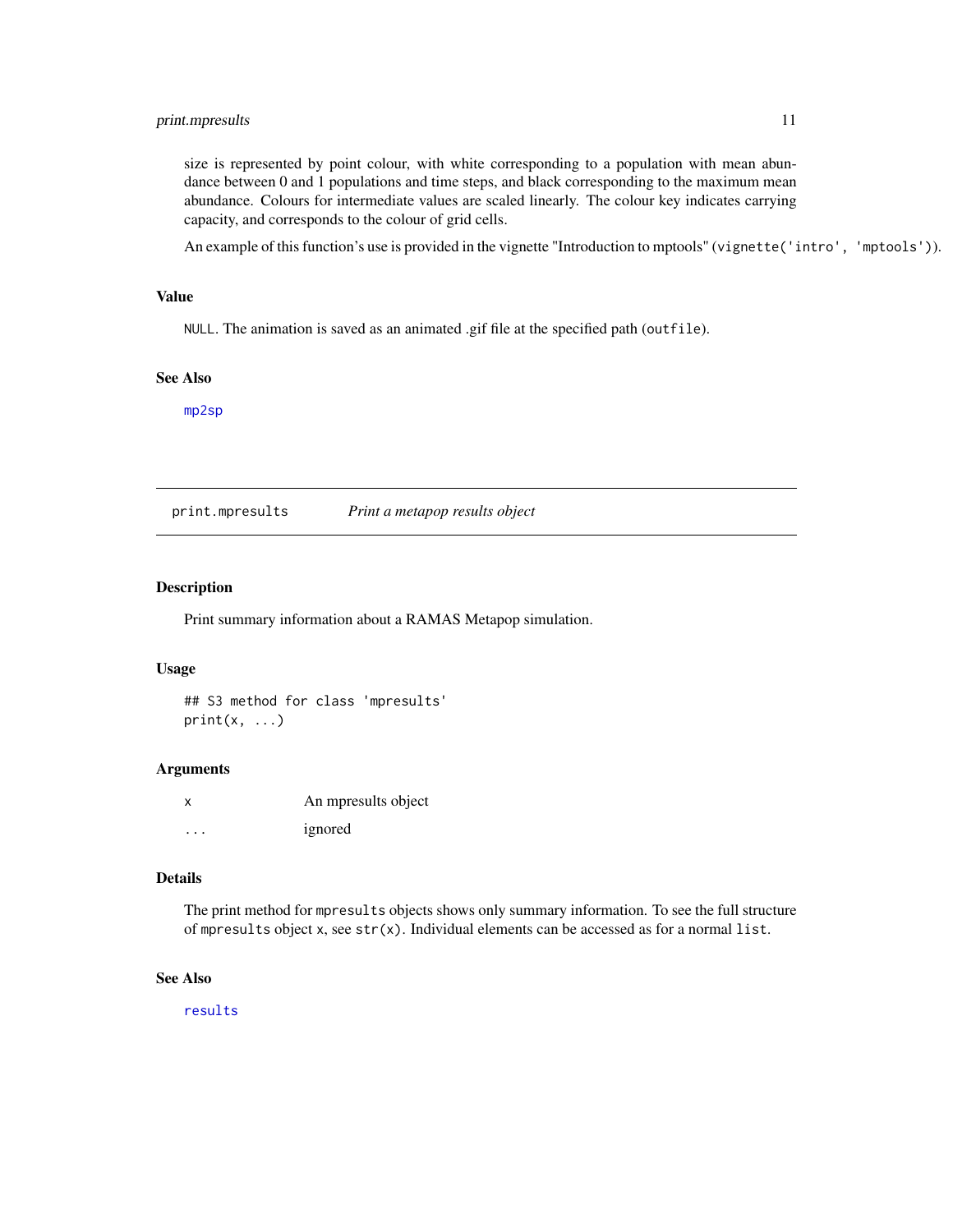#### <span id="page-10-0"></span>print.mpresults 11

size is represented by point colour, with white corresponding to a population with mean abundance between 0 and 1 populations and time steps, and black corresponding to the maximum mean abundance. Colours for intermediate values are scaled linearly. The colour key indicates carrying capacity, and corresponds to the colour of grid cells.

An example of this function's use is provided in the vignette "Introduction to mptools" (vignette('intro', 'mptools')).

#### Value

NULL. The animation is saved as an animated .gif file at the specified path (outfile).

#### See Also

[mp2sp](#page-6-1)

print.mpresults *Print a metapop results object*

#### Description

Print summary information about a RAMAS Metapop simulation.

#### Usage

```
## S3 method for class 'mpresults'
print(x, \ldots)
```
#### Arguments

|   | An mpresults object |
|---|---------------------|
| . | ignored             |

#### Details

The print method for mpresults objects shows only summary information. To see the full structure of mpresults object x, see str(x). Individual elements can be accessed as for a normal list.

#### See Also

[results](#page-11-1)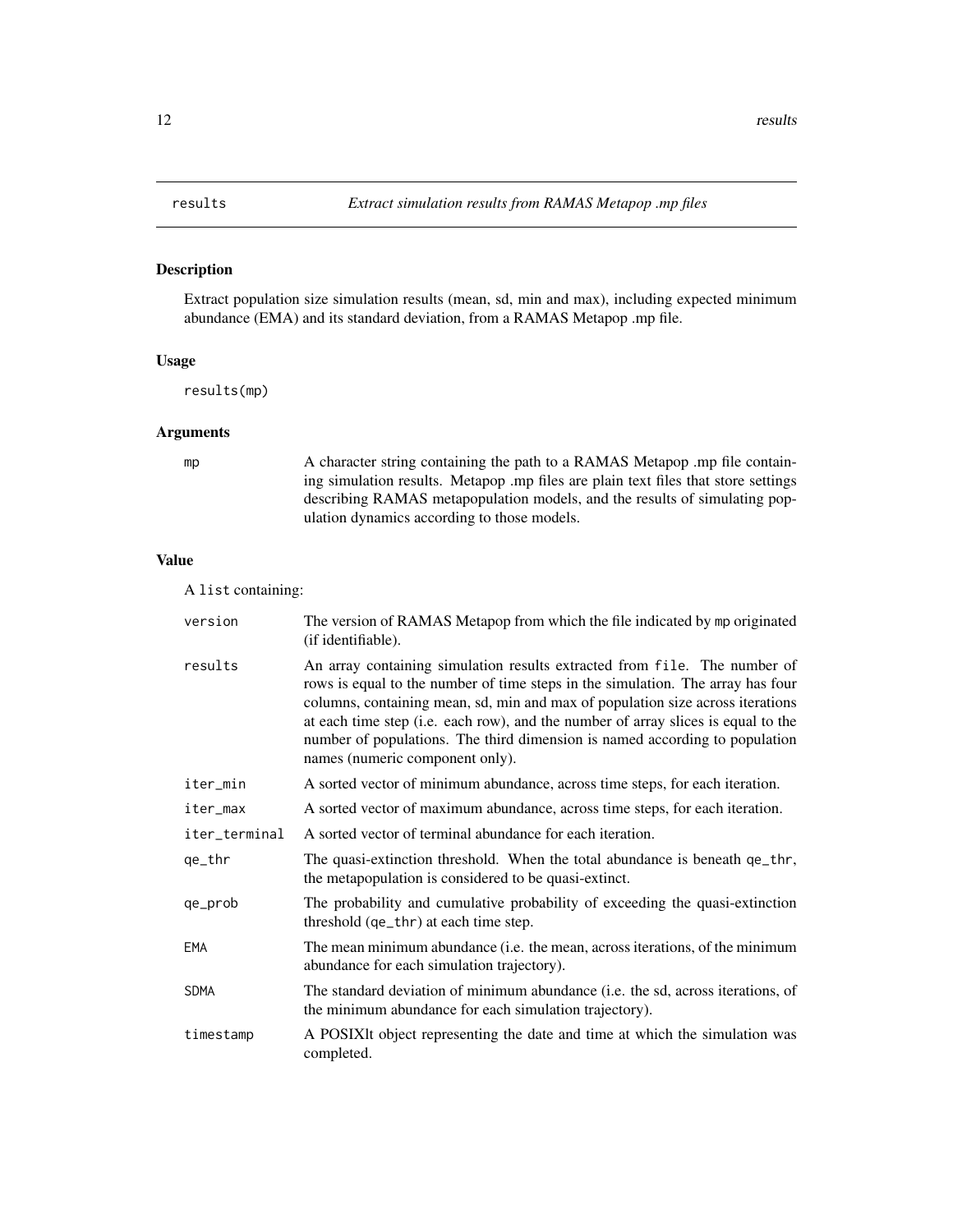<span id="page-11-1"></span><span id="page-11-0"></span>Extract population size simulation results (mean, sd, min and max), including expected minimum abundance (EMA) and its standard deviation, from a RAMAS Metapop .mp file.

#### Usage

results(mp)

#### Arguments

mp A character string containing the path to a RAMAS Metapop .mp file containing simulation results. Metapop .mp files are plain text files that store settings describing RAMAS metapopulation models, and the results of simulating population dynamics according to those models.

#### Value

A list containing:

| version       | The version of RAMAS Metapop from which the file indicated by mp originated<br>(if identifiable).                                                                                                                                                                                                                                                                                                                                                     |
|---------------|-------------------------------------------------------------------------------------------------------------------------------------------------------------------------------------------------------------------------------------------------------------------------------------------------------------------------------------------------------------------------------------------------------------------------------------------------------|
| results       | An array containing simulation results extracted from file. The number of<br>rows is equal to the number of time steps in the simulation. The array has four<br>columns, containing mean, sd, min and max of population size across iterations<br>at each time step (i.e. each row), and the number of array slices is equal to the<br>number of populations. The third dimension is named according to population<br>names (numeric component only). |
| iter_min      | A sorted vector of minimum abundance, across time steps, for each iteration.                                                                                                                                                                                                                                                                                                                                                                          |
| iter_max      | A sorted vector of maximum abundance, across time steps, for each iteration.                                                                                                                                                                                                                                                                                                                                                                          |
| iter_terminal | A sorted vector of terminal abundance for each iteration.                                                                                                                                                                                                                                                                                                                                                                                             |
| ge_thr        | The quasi-extinction threshold. When the total abundance is beneath qe_thr,<br>the metapopulation is considered to be quasi-extinct.                                                                                                                                                                                                                                                                                                                  |
| qe_prob       | The probability and cumulative probability of exceeding the quasi-extinction<br>threshold (qe_thr) at each time step.                                                                                                                                                                                                                                                                                                                                 |
| <b>EMA</b>    | The mean minimum abundance (i.e. the mean, across iterations, of the minimum<br>abundance for each simulation trajectory).                                                                                                                                                                                                                                                                                                                            |
| <b>SDMA</b>   | The standard deviation of minimum abundance (i.e. the sd, across iterations, of<br>the minimum abundance for each simulation trajectory).                                                                                                                                                                                                                                                                                                             |
| timestamp     | A POSIXIt object representing the date and time at which the simulation was<br>completed.                                                                                                                                                                                                                                                                                                                                                             |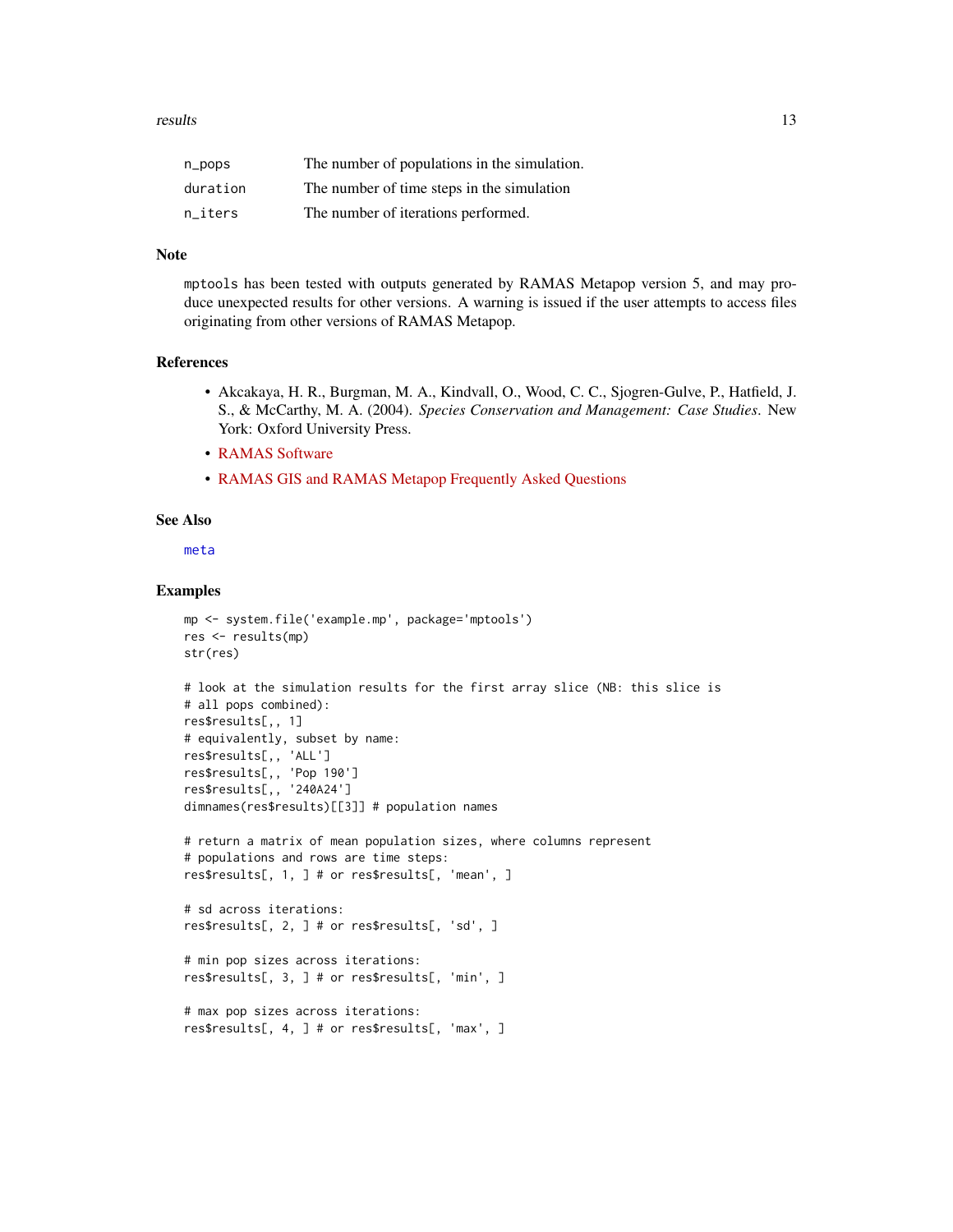#### <span id="page-12-0"></span>results and the set of the set of the set of the set of the set of the set of the set of the set of the set of the set of the set of the set of the set of the set of the set of the set of the set of the set of the set of t

| $n\_pops$ | The number of populations in the simulation. |
|-----------|----------------------------------------------|
| duration  | The number of time steps in the simulation   |
| n iters   | The number of iterations performed.          |

#### Note

mptools has been tested with outputs generated by RAMAS Metapop version 5, and may produce unexpected results for other versions. A warning is issued if the user attempts to access files originating from other versions of RAMAS Metapop.

#### References

- Akcakaya, H. R., Burgman, M. A., Kindvall, O., Wood, C. C., Sjogren-Gulve, P., Hatfield, J. S., & McCarthy, M. A. (2004). *Species Conservation and Management: Case Studies*. New York: Oxford University Press.
- [RAMAS Software](https://www.ramas.com/ramas.htm#metapop)
- [RAMAS GIS and RAMAS Metapop Frequently Asked Questions](https://www.ramas.com/gis-faq.htm)

#### See Also

[meta](#page-4-1)

```
mp <- system.file('example.mp', package='mptools')
res <- results(mp)
str(res)
```

```
# look at the simulation results for the first array slice (NB: this slice is
# all pops combined):
res$results[,, 1]
# equivalently, subset by name:
res$results[,, 'ALL']
res$results[,, 'Pop 190']
res$results[,, '240A24']
dimnames(res$results)[[3]] # population names
# return a matrix of mean population sizes, where columns represent
# populations and rows are time steps:
res$results[, 1, ] # or res$results[, 'mean', ]
# sd across iterations:
res$results[, 2, ] # or res$results[, 'sd', ]
# min pop sizes across iterations:
res$results[, 3, ] # or res$results[, 'min', ]
```

```
# max pop sizes across iterations:
res$results[, 4, ] # or res$results[, 'max', ]
```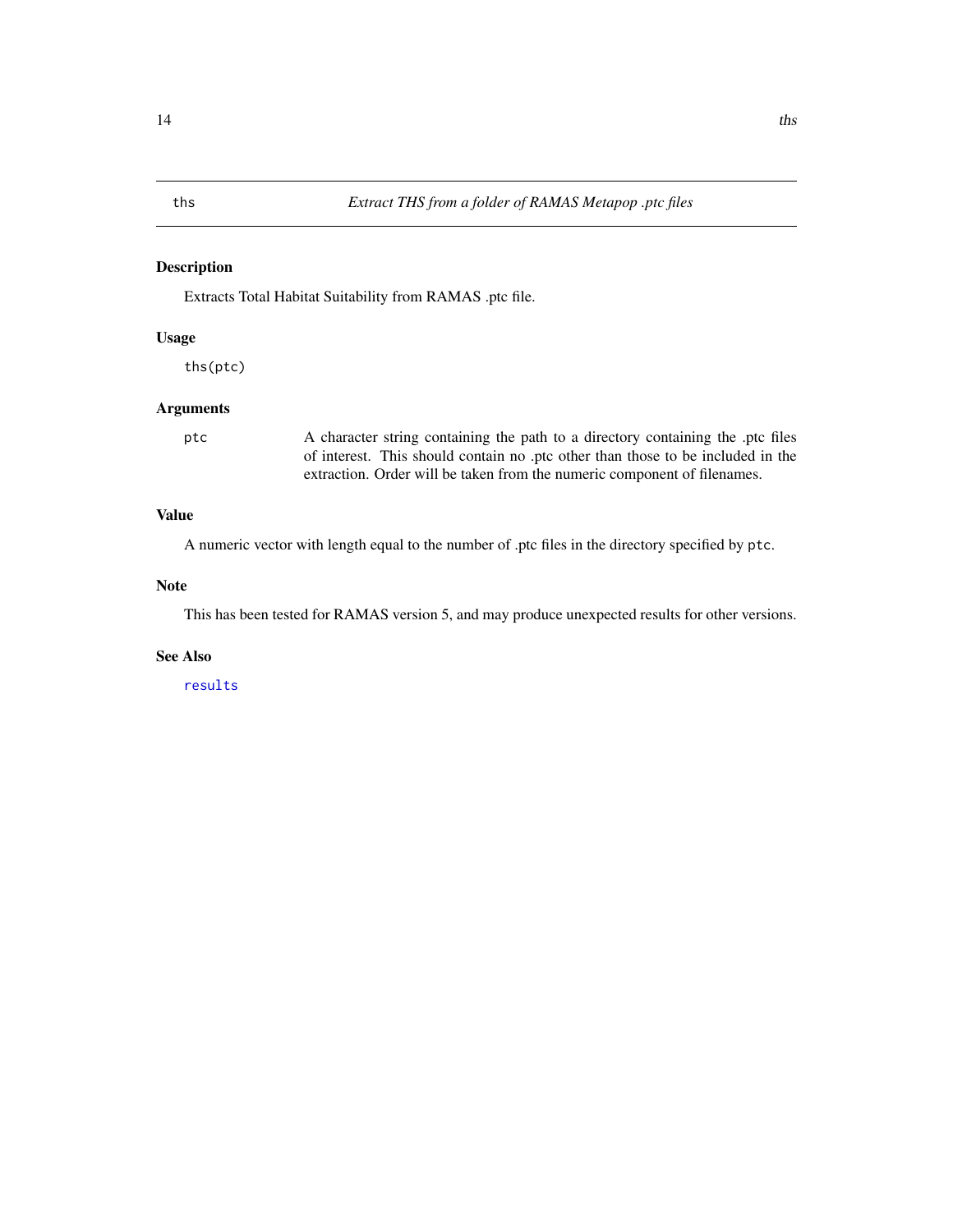<span id="page-13-0"></span>Extracts Total Habitat Suitability from RAMAS .ptc file.

#### Usage

ths(ptc)

#### Arguments

ptc A character string containing the path to a directory containing the .ptc files of interest. This should contain no .ptc other than those to be included in the extraction. Order will be taken from the numeric component of filenames.

#### Value

A numeric vector with length equal to the number of .ptc files in the directory specified by ptc.

#### Note

This has been tested for RAMAS version 5, and may produce unexpected results for other versions.

#### See Also

[results](#page-11-1)